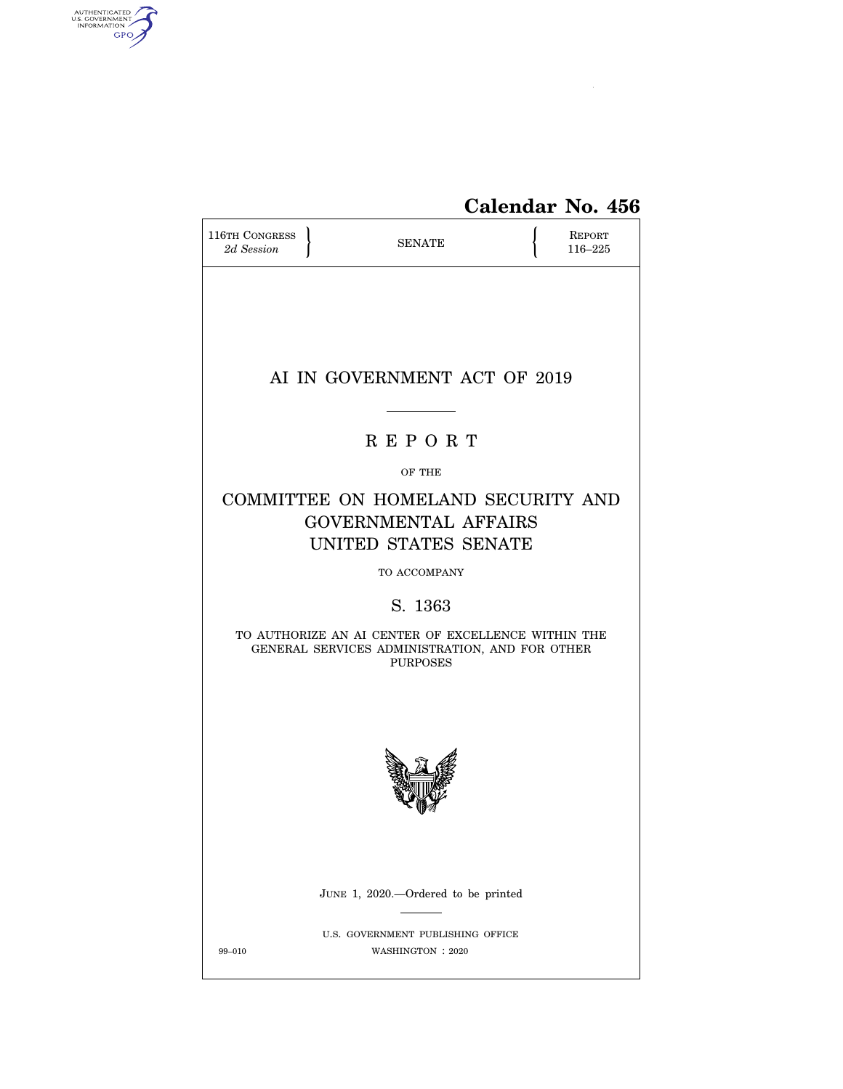

# **Calendar No. 456**

| <b>116TH CONGRESS</b><br>2d Session                                                                                     |  | <b>SENATE</b>                                          |  | REPORT<br>116-225 |  |  |  |
|-------------------------------------------------------------------------------------------------------------------------|--|--------------------------------------------------------|--|-------------------|--|--|--|
|                                                                                                                         |  | AI IN GOVERNMENT ACT OF 2019                           |  |                   |  |  |  |
| <b>REPORT</b>                                                                                                           |  |                                                        |  |                   |  |  |  |
| OF THE                                                                                                                  |  |                                                        |  |                   |  |  |  |
| COMMITTEE ON HOMELAND SECURITY AND<br><b>GOVERNMENTAL AFFAIRS</b><br>UNITED STATES SENATE                               |  |                                                        |  |                   |  |  |  |
|                                                                                                                         |  | TO ACCOMPANY                                           |  |                   |  |  |  |
|                                                                                                                         |  | S. 1363                                                |  |                   |  |  |  |
| TO AUTHORIZE AN AI CENTER OF EXCELLENCE WITHIN THE<br>GENERAL SERVICES ADMINISTRATION, AND FOR OTHER<br><b>PURPOSES</b> |  |                                                        |  |                   |  |  |  |
|                                                                                                                         |  | JUNE 1, 2020.—Ordered to be printed                    |  |                   |  |  |  |
|                                                                                                                         |  |                                                        |  |                   |  |  |  |
| 99-010                                                                                                                  |  | U.S. GOVERNMENT PUBLISHING OFFICE<br>WASHINGTON : 2020 |  |                   |  |  |  |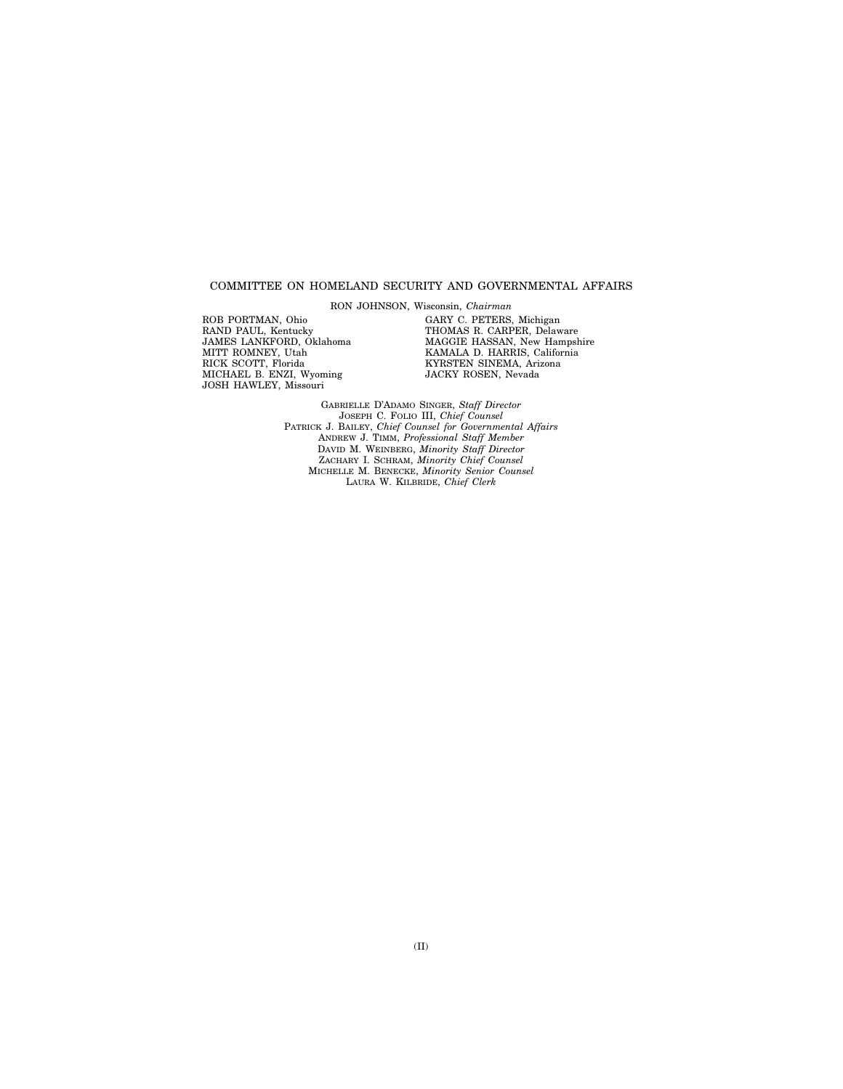### COMMITTEE ON HOMELAND SECURITY AND GOVERNMENTAL AFFAIRS

RON JOHNSON, Wisconsin, *Chairman* 

ROB PORTMAN, Ohio RAND PAUL, Kentucky JAMES LANKFORD, Oklahoma MITT ROMNEY, Utah RICK SCOTT, Florida MICHAEL B. ENZI, Wyoming JOSH HAWLEY, Missouri

GARY C. PETERS, Michigan THOMAS R. CARPER, Delaware MAGGIE HASSAN, New Hampshire KAMALA D. HARRIS, California KYRSTEN SINEMA, Arizona JACKY ROSEN, Nevada

GABRIELLE D'ADAMO SINGER, *Staff Director*  JOSEPH C. FOLIO III, *Chief Counsel*  PATRICK J. BAILEY, *Chief Counsel for Governmental Affairs*  ANDREW J. TIMM, *Professional Staff Member*  DAVID M. WEINBERG, *Minority Staff Director*  ZACHARY I. SCHRAM, *Minority Chief Counsel*  MICHELLE M. BENECKE, *Minority Senior Counsel*  LAURA W. KILBRIDE, *Chief Clerk*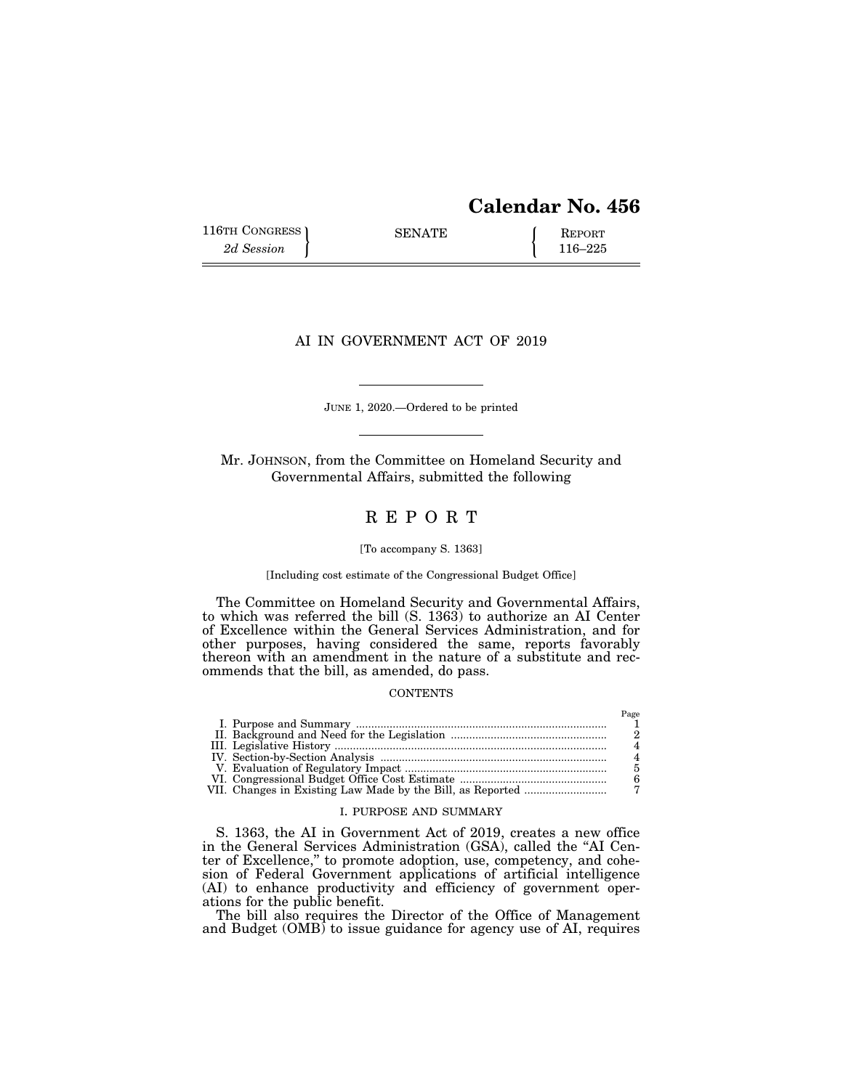# **Calendar No. 456**

116TH CONGRESS SENATE <br>
2d Session **REPORT** 116–225

# AI IN GOVERNMENT ACT OF 2019

JUNE 1, 2020.—Ordered to be printed

Mr. JOHNSON, from the Committee on Homeland Security and Governmental Affairs, submitted the following

# R E P O R T

#### [To accompany S. 1363]

### [Including cost estimate of the Congressional Budget Office]

The Committee on Homeland Security and Governmental Affairs, to which was referred the bill (S. 1363) to authorize an AI Center of Excellence within the General Services Administration, and for other purposes, having considered the same, reports favorably thereon with an amendment in the nature of a substitute and recommends that the bill, as amended, do pass.

### **CONTENTS**

#### I. PURPOSE AND SUMMARY

S. 1363, the AI in Government Act of 2019, creates a new office in the General Services Administration (GSA), called the ''AI Center of Excellence,'' to promote adoption, use, competency, and cohesion of Federal Government applications of artificial intelligence (AI) to enhance productivity and efficiency of government operations for the public benefit.

The bill also requires the Director of the Office of Management and Budget (OMB) to issue guidance for agency use of AI, requires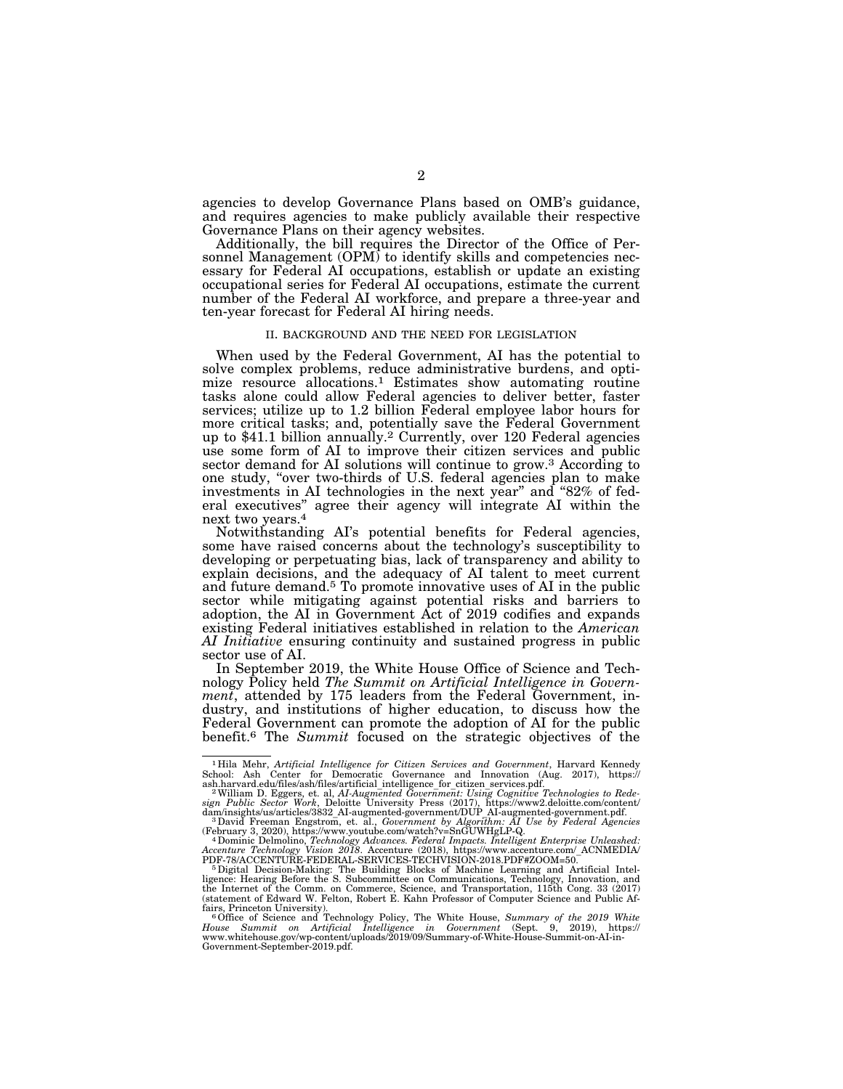agencies to develop Governance Plans based on OMB's guidance, and requires agencies to make publicly available their respective Governance Plans on their agency websites.

Additionally, the bill requires the Director of the Office of Personnel Management (OPM) to identify skills and competencies necessary for Federal AI occupations, establish or update an existing occupational series for Federal AI occupations, estimate the current number of the Federal AI workforce, and prepare a three-year and ten-year forecast for Federal AI hiring needs.

#### II. BACKGROUND AND THE NEED FOR LEGISLATION

When used by the Federal Government, AI has the potential to solve complex problems, reduce administrative burdens, and optimize resource allocations.<sup>1</sup> Estimates show automating routine tasks alone could allow Federal agencies to deliver better, faster services; utilize up to 1.2 billion Federal employee labor hours for more critical tasks; and, potentially save the Federal Government up to \$41.1 billion annually.2 Currently, over 120 Federal agencies use some form of AI to improve their citizen services and public sector demand for AI solutions will continue to grow.<sup>3</sup> According to one study, ''over two-thirds of U.S. federal agencies plan to make investments in AI technologies in the next year'' and ''82% of federal executives'' agree their agency will integrate AI within the next two years.4

Notwithstanding AI's potential benefits for Federal agencies, some have raised concerns about the technology's susceptibility to developing or perpetuating bias, lack of transparency and ability to explain decisions, and the adequacy of AI talent to meet current and future demand.5 To promote innovative uses of AI in the public sector while mitigating against potential risks and barriers to adoption, the AI in Government Act of 2019 codifies and expands existing Federal initiatives established in relation to the *American AI Initiative* ensuring continuity and sustained progress in public sector use of AI.

In September 2019, the White House Office of Science and Technology Policy held *The Summit on Artificial Intelligence in Government*, attended by 175 leaders from the Federal Government, industry, and institutions of higher education, to discuss how the Federal Government can promote the adoption of AI for the public benefit.6 The *Summit* focused on the strategic objectives of the

<sup>&</sup>lt;sup>1</sup>Hila Mehr, Artificial Intelligence for Citizen Services and Government, Harvard Kennedy School: Ash Center for Democratic Governance and Innovation (Aug. 2017), https://sash.harvard.edu/files/ash/files/artificial intel

<sup>(</sup>February 3, 2020), https://www.youtube.com/watch?v=SnGUWHgLP-Q. 4Dominic Delmolino, *Technology Advances. Federal Impacts. Intelligent Enterprise Unleashed:* 

<sup>&</sup>lt;sup>4</sup> Dominic Delmolino, *Technology Advances. Federal Impacts. Intelligent Enterprise Unleashed:*<br>Accenture Technology Vision 2018. Accenture (2018), https://www.accenture.com/\_ACNMEDIA/<br>PDF-78/ACCENTURE-FEDERAL-SERVICES-TE

PDF-78/ACCENTURE-FEDERAL-SERVICES-TECHVISION-2018.PDF#ZOOM=50.<br><sup>5</sup> Digital Decision-Making: The Building Blocks of Machine Learning and Artificial Intel-<br>ligence: Hearing Before the S. Subcommittee on Communications, Techn

fairs, Princeton University).<br><sup>6</sup> Office of Science and Technology Policy, The White House, *Summary of the 2019 White*<br>*House Summit on Artificial Intelligence in Government* (Sept. 9, 2019), https:// *House Summit on Artificial Intelligence in Government* (Sept. 9, 2019), https:// www.whitehouse.gov/wp-content/uploads/2019/09/Summary-of-White-House-Summit-on-AI-in-Government-September-2019.pdf.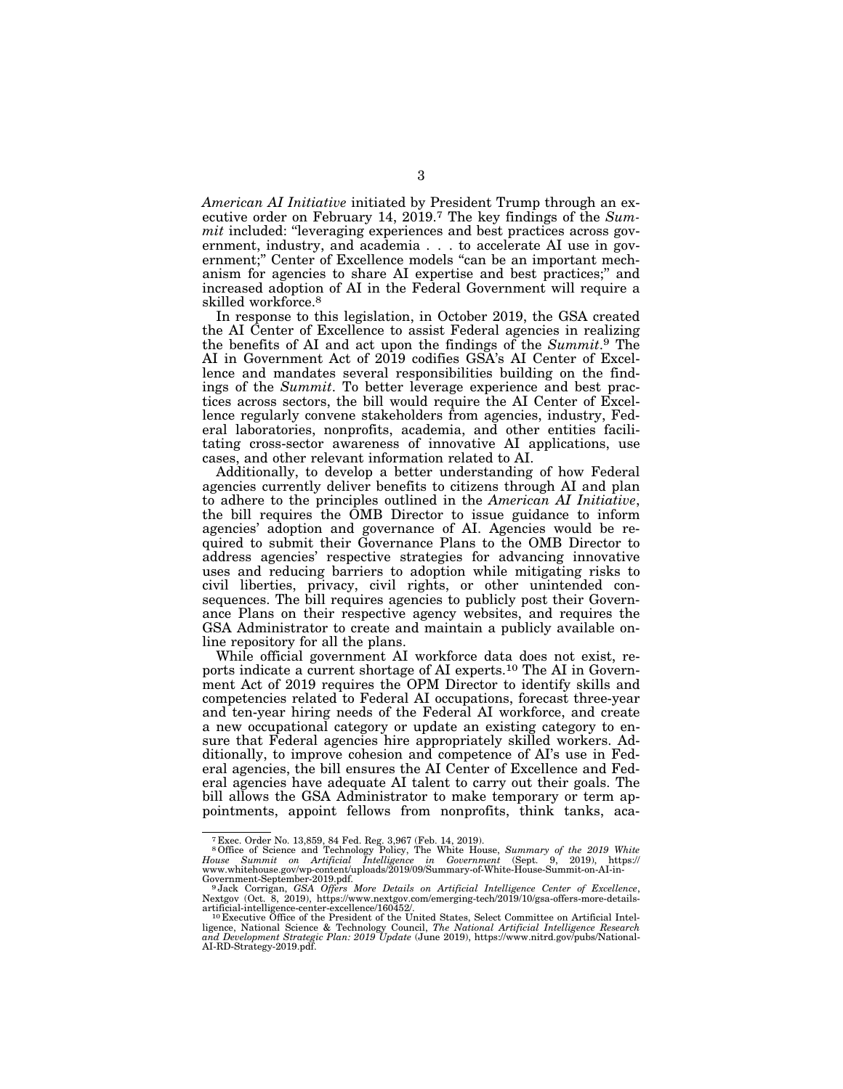*American AI Initiative* initiated by President Trump through an executive order on February 14, 2019.7 The key findings of the *Summit* included: "leveraging experiences and best practices across government, industry, and academia . . . to accelerate AI use in government;" Center of Excellence models "can be an important mechanism for agencies to share AI expertise and best practices;'' and increased adoption of AI in the Federal Government will require a skilled workforce.8

In response to this legislation, in October 2019, the GSA created the AI Center of Excellence to assist Federal agencies in realizing the benefits of AI and act upon the findings of the *Summit*.9 The AI in Government Act of 2019 codifies GSA's AI Center of Excellence and mandates several responsibilities building on the findings of the *Summit*. To better leverage experience and best practices across sectors, the bill would require the AI Center of Excellence regularly convene stakeholders from agencies, industry, Federal laboratories, nonprofits, academia, and other entities facilitating cross-sector awareness of innovative AI applications, use cases, and other relevant information related to AI.

Additionally, to develop a better understanding of how Federal agencies currently deliver benefits to citizens through AI and plan to adhere to the principles outlined in the *American AI Initiative*, the bill requires the OMB Director to issue guidance to inform agencies' adoption and governance of AI. Agencies would be required to submit their Governance Plans to the OMB Director to address agencies' respective strategies for advancing innovative uses and reducing barriers to adoption while mitigating risks to civil liberties, privacy, civil rights, or other unintended consequences. The bill requires agencies to publicly post their Governance Plans on their respective agency websites, and requires the GSA Administrator to create and maintain a publicly available online repository for all the plans.

While official government AI workforce data does not exist, reports indicate a current shortage of AI experts.10 The AI in Government Act of 2019 requires the OPM Director to identify skills and competencies related to Federal AI occupations, forecast three-year and ten-year hiring needs of the Federal AI workforce, and create a new occupational category or update an existing category to ensure that Federal agencies hire appropriately skilled workers. Additionally, to improve cohesion and competence of AI's use in Federal agencies, the bill ensures the AI Center of Excellence and Federal agencies have adequate AI talent to carry out their goals. The bill allows the GSA Administrator to make temporary or term appointments, appoint fellows from nonprofits, think tanks, aca-

<sup>&</sup>lt;sup>7</sup> Exec. Order No. 13,859, 84 Fed. Reg. 3,967 (Feb. 14, 2019).<br><sup>8</sup> Office of Science and Technology Policy, The White House, *Summary of the 2019 White*<br>House Summit on Artificial Intelligence in Government (Sept. 9, 2019

www.whitehouse.gov/wp-content/uploads/2019/09/Summary-of-White-House-Summit-on-AI-in-<br>Government-September-2019.pdf.<br>- <sup>9</sup> Jack Corrigan, GSA Offers *More Details on Artificial Intelligence Center of Excellence*,<br>Nextgov ( Artificial-intelligence-center-excellence/160452/.<br>artificial-intelligence-center-excellence/160452/.<br><sup>10</sup> Executive Office of the President of the United States, Select Committee on Artificial Intel-

ligence, National Science & Technology Council, *The National Artificial Intelligence Research*<br>and Development Strategic Plan: 2019 Update (June 2019), https://www.nitrd.gov/pubs/National-<br>AI-RD-Strategy-2019.pdf.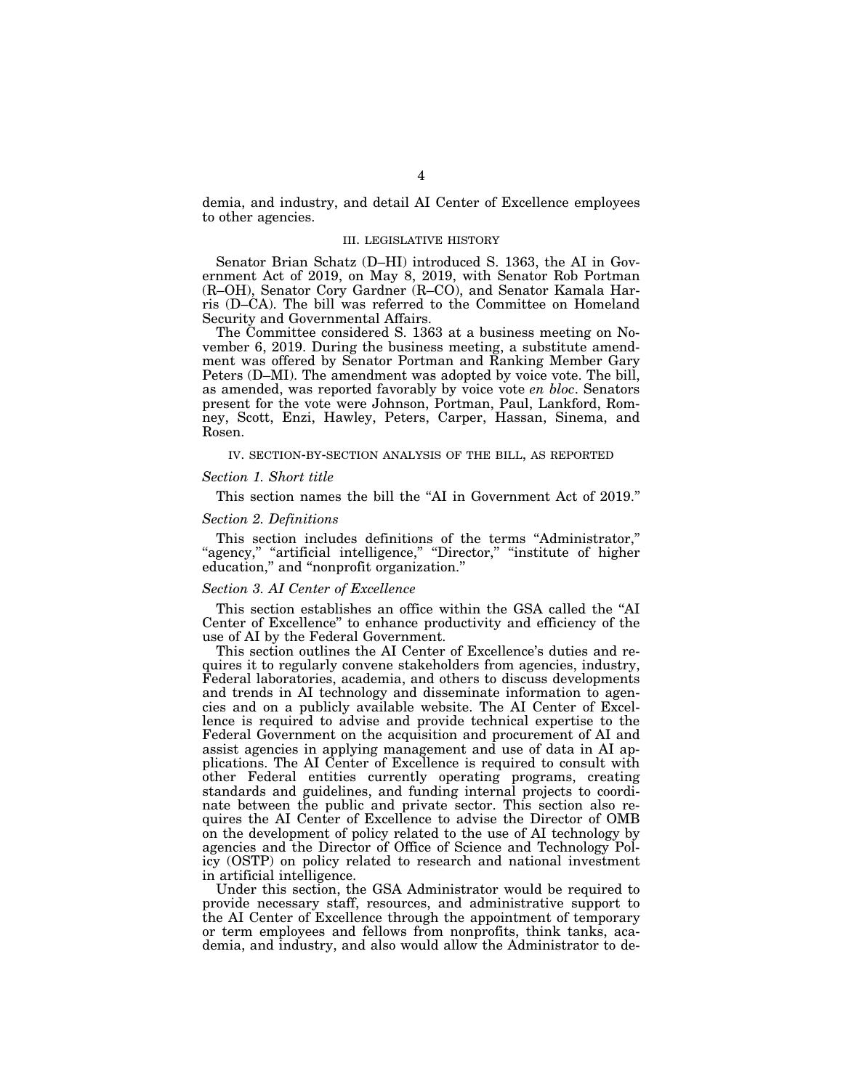demia, and industry, and detail AI Center of Excellence employees to other agencies.

### III. LEGISLATIVE HISTORY

Senator Brian Schatz (D–HI) introduced S. 1363, the AI in Government Act of 2019, on May 8, 2019, with Senator Rob Portman (R–OH), Senator Cory Gardner (R–CO), and Senator Kamala Harris (D–CA). The bill was referred to the Committee on Homeland Security and Governmental Affairs.

The Committee considered S. 1363 at a business meeting on November 6, 2019. During the business meeting, a substitute amendment was offered by Senator Portman and Ranking Member Gary Peters (D–MI). The amendment was adopted by voice vote. The bill, as amended, was reported favorably by voice vote *en bloc*. Senators present for the vote were Johnson, Portman, Paul, Lankford, Romney, Scott, Enzi, Hawley, Peters, Carper, Hassan, Sinema, and Rosen.

IV. SECTION-BY-SECTION ANALYSIS OF THE BILL, AS REPORTED

#### *Section 1. Short title*

This section names the bill the "AI in Government Act of 2019."

## *Section 2. Definitions*

This section includes definitions of the terms ''Administrator,'' "agency," "artificial intelligence," "Director," "institute of higher education," and "nonprofit organization."

### *Section 3. AI Center of Excellence*

This section establishes an office within the GSA called the ''AI Center of Excellence'' to enhance productivity and efficiency of the use of AI by the Federal Government.

This section outlines the AI Center of Excellence's duties and requires it to regularly convene stakeholders from agencies, industry, Federal laboratories, academia, and others to discuss developments and trends in AI technology and disseminate information to agencies and on a publicly available website. The AI Center of Excellence is required to advise and provide technical expertise to the Federal Government on the acquisition and procurement of AI and assist agencies in applying management and use of data in AI applications. The AI Center of Excellence is required to consult with other Federal entities currently operating programs, creating standards and guidelines, and funding internal projects to coordinate between the public and private sector. This section also requires the AI Center of Excellence to advise the Director of OMB on the development of policy related to the use of AI technology by agencies and the Director of Office of Science and Technology Policy (OSTP) on policy related to research and national investment in artificial intelligence.

Under this section, the GSA Administrator would be required to provide necessary staff, resources, and administrative support to the AI Center of Excellence through the appointment of temporary or term employees and fellows from nonprofits, think tanks, academia, and industry, and also would allow the Administrator to de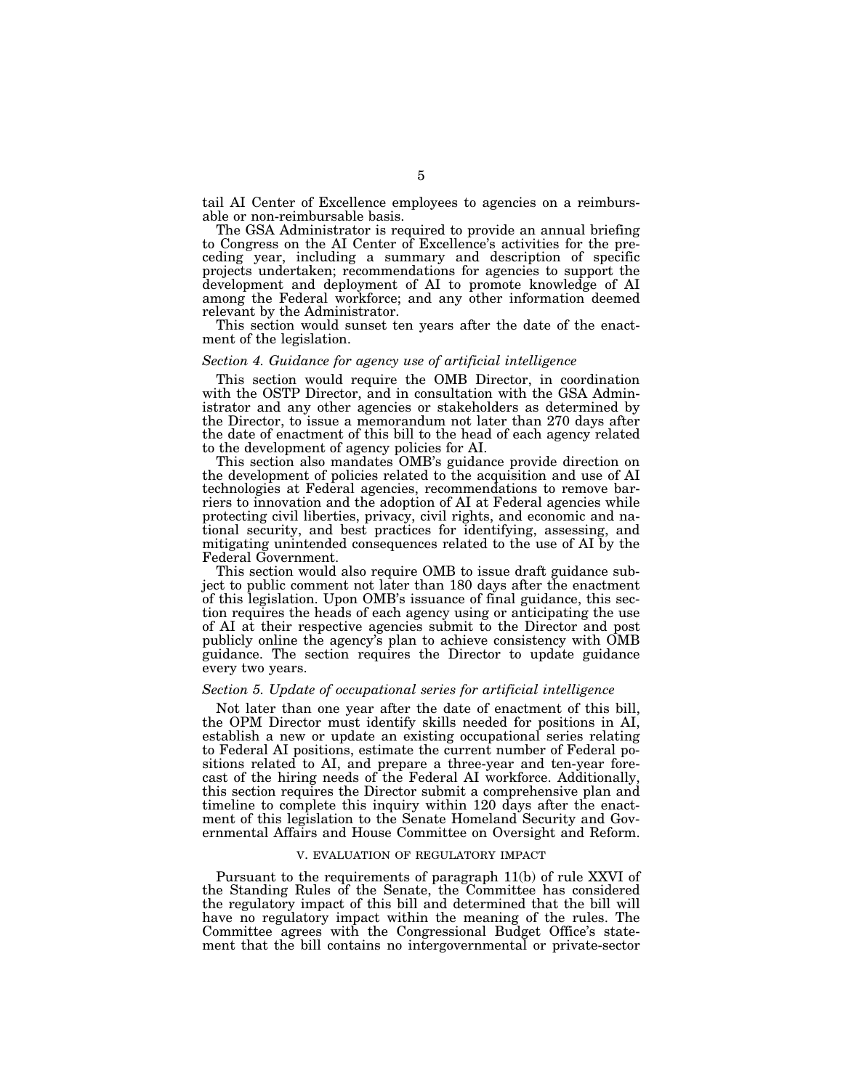tail AI Center of Excellence employees to agencies on a reimbursable or non-reimbursable basis.

The GSA Administrator is required to provide an annual briefing to Congress on the AI Center of Excellence's activities for the preceding year, including a summary and description of specific projects undertaken; recommendations for agencies to support the development and deployment of AI to promote knowledge of AI among the Federal workforce; and any other information deemed relevant by the Administrator.

This section would sunset ten years after the date of the enactment of the legislation.

### *Section 4. Guidance for agency use of artificial intelligence*

This section would require the OMB Director, in coordination with the OSTP Director, and in consultation with the GSA Administrator and any other agencies or stakeholders as determined by the Director, to issue a memorandum not later than 270 days after the date of enactment of this bill to the head of each agency related to the development of agency policies for AI.

This section also mandates OMB's guidance provide direction on the development of policies related to the acquisition and use of AI technologies at Federal agencies, recommendations to remove barriers to innovation and the adoption of AI at Federal agencies while protecting civil liberties, privacy, civil rights, and economic and national security, and best practices for identifying, assessing, and mitigating unintended consequences related to the use of AI by the Federal Government.

This section would also require OMB to issue draft guidance subject to public comment not later than 180 days after the enactment of this legislation. Upon OMB's issuance of final guidance, this section requires the heads of each agency using or anticipating the use of AI at their respective agencies submit to the Director and post publicly online the agency's plan to achieve consistency with OMB guidance. The section requires the Director to update guidance every two years.

#### *Section 5. Update of occupational series for artificial intelligence*

Not later than one year after the date of enactment of this bill, the OPM Director must identify skills needed for positions in AI, establish a new or update an existing occupational series relating to Federal AI positions, estimate the current number of Federal positions related to AI, and prepare a three-year and ten-year forecast of the hiring needs of the Federal AI workforce. Additionally, this section requires the Director submit a comprehensive plan and timeline to complete this inquiry within 120 days after the enactment of this legislation to the Senate Homeland Security and Governmental Affairs and House Committee on Oversight and Reform.

#### V. EVALUATION OF REGULATORY IMPACT

Pursuant to the requirements of paragraph 11(b) of rule XXVI of the Standing Rules of the Senate, the Committee has considered the regulatory impact of this bill and determined that the bill will have no regulatory impact within the meaning of the rules. The Committee agrees with the Congressional Budget Office's statement that the bill contains no intergovernmental or private-sector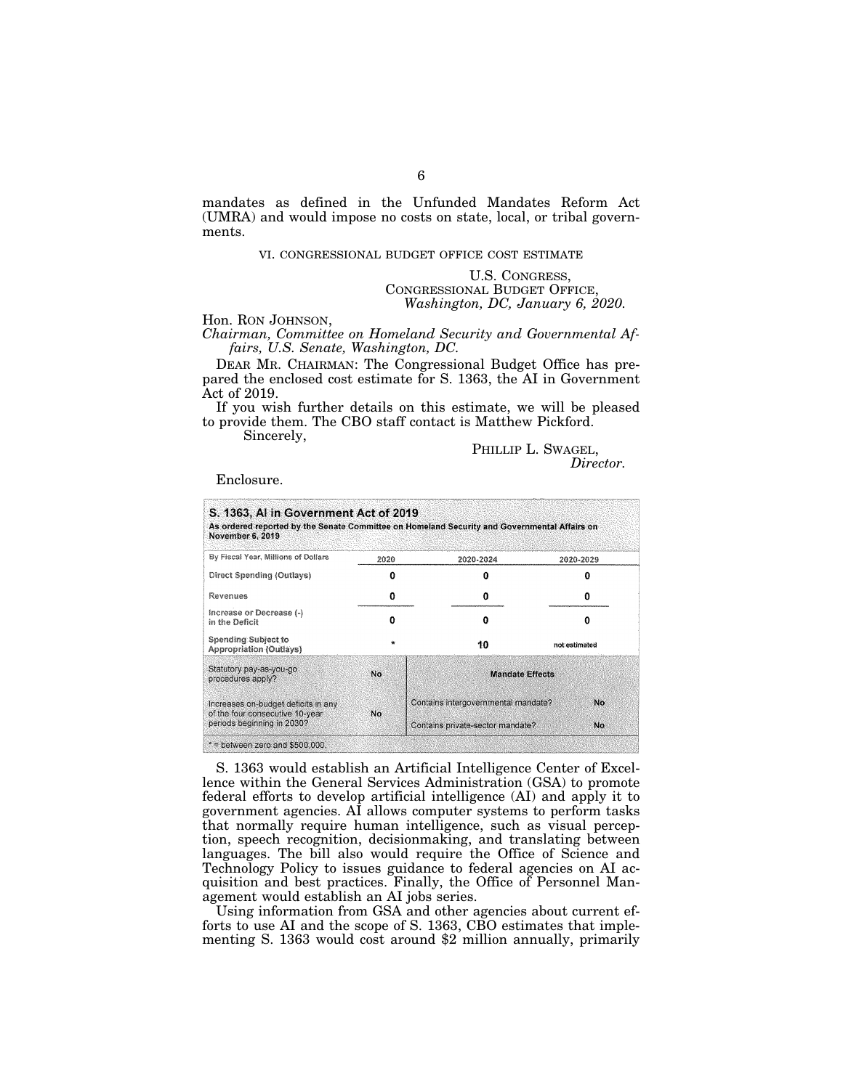mandates as defined in the Unfunded Mandates Reform Act (UMRA) and would impose no costs on state, local, or tribal governments.

## VI. CONGRESSIONAL BUDGET OFFICE COST ESTIMATE

U.S. CONGRESS, CONGRESSIONAL BUDGET OFFICE, *Washington, DC, January 6, 2020.* 

#### Hon. RON JOHNSON,

*Chairman, Committee on Homeland Security and Governmental Affairs, U.S. Senate, Washington, DC.* 

DEAR MR. CHAIRMAN: The Congressional Budget Office has prepared the enclosed cost estimate for S. 1363, the AI in Government Act of 2019.

If you wish further details on this estimate, we will be pleased to provide them. The CBO staff contact is Matthew Pickford.

Sincerely,

PHILLIP L. SWAGEL, *Director.* 

Enclosure.

| S. 1363, AI in Government Act of 2019<br>As ordered reported by the Senate Committee on Homeland Security and Governmental Affairs on<br>November 6, 2019 |         |                                     |               |  |  |
|-----------------------------------------------------------------------------------------------------------------------------------------------------------|---------|-------------------------------------|---------------|--|--|
| By Fiscal Year, Millions of Dollars                                                                                                                       | 2020    | 2020-2024                           | 2020-2029     |  |  |
| Direct Spending (Outlays)                                                                                                                                 | Ω       | n                                   | n             |  |  |
| Revenues                                                                                                                                                  | 0       | 0                                   | n             |  |  |
| Increase or Decrease (-)<br>in the Deficit                                                                                                                | Ω       | o                                   | n             |  |  |
| <b>Spending Subject to</b><br>Appropriation (Outlays)                                                                                                     | $\star$ | 10                                  | not estimated |  |  |
| Statutory pay-as-you-go<br>procedures apply?                                                                                                              | No      | <b>Mandate Effects</b>              |               |  |  |
| Increases on-budget deficits in any<br>of the four consecutive 10-year<br>No<br>periods beginning in 2030?                                                |         | Contains intergovernmental mandate? | No.           |  |  |
| Contains private-sector mandate?<br>No.<br>$*$ = between zero and \$500,000.                                                                              |         |                                     |               |  |  |

S. 1363 would establish an Artificial Intelligence Center of Excellence within the General Services Administration (GSA) to promote federal efforts to develop artificial intelligence (AI) and apply it to government agencies. AI allows computer systems to perform tasks that normally require human intelligence, such as visual perception, speech recognition, decisionmaking, and translating between languages. The bill also would require the Office of Science and Technology Policy to issues guidance to federal agencies on AI acquisition and best practices. Finally, the Office of Personnel Management would establish an AI jobs series.

Using information from GSA and other agencies about current efforts to use AI and the scope of S. 1363, CBO estimates that implementing S. 1363 would cost around \$2 million annually, primarily